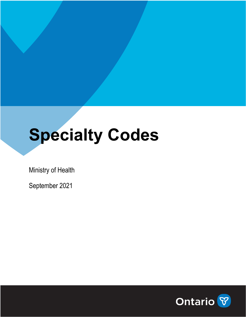# **Specialty Codes**

Ministry of Health

September 2021

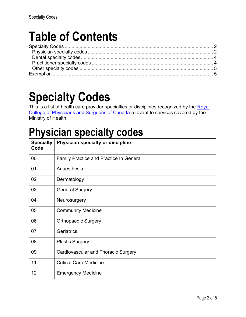# **Table of Contents**

## **Specialty Codes**

This is a list of health care provider specialties or disciplines recognized by the Royal [College of Physicians and Surgeons of Canada](http://www.royalcollege.ca/rcsite/home-e) relevant to services covered by the Ministry of Health.

## **Physician specialty codes**

| <b>Specialty</b><br>Code | Physician specialty or discipline              |
|--------------------------|------------------------------------------------|
| 00                       | <b>Family Practice and Practice In General</b> |
| 01                       | Anaesthesia                                    |
| 02                       | Dermatology                                    |
| 03                       | <b>General Surgery</b>                         |
| 04                       | Neurosurgery                                   |
| 05                       | <b>Community Medicine</b>                      |
| 06                       | <b>Orthopaedic Surgery</b>                     |
| 07                       | Geriatrics                                     |
| 08                       | <b>Plastic Surgery</b>                         |
| 09                       | <b>Cardiovascular and Thoracic Surgery</b>     |
| 11                       | <b>Critical Care Medicine</b>                  |
| 12                       | <b>Emergency Medicine</b>                      |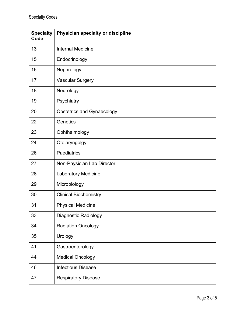| <b>Specialty</b><br>Code | Physician specialty or discipline |
|--------------------------|-----------------------------------|
| 13                       | <b>Internal Medicine</b>          |
| 15                       | Endocrinology                     |
| 16                       | Nephrology                        |
| 17                       | <b>Vascular Surgery</b>           |
| 18                       | Neurology                         |
| 19                       | Psychiatry                        |
| 20                       | <b>Obstetrics and Gynaecology</b> |
| 22                       | Genetics                          |
| 23                       | Ophthalmology                     |
| 24                       | Otolaryngolgy                     |
| 26                       | Paediatrics                       |
| 27                       | Non-Physician Lab Director        |
| 28                       | Laboratory Medicine               |
| 29                       | Microbiology                      |
| 30                       | <b>Clinical Biochemistry</b>      |
| 31                       | <b>Physical Medicine</b>          |
| 33                       | <b>Diagnostic Radiology</b>       |
| 34                       | <b>Radiation Oncology</b>         |
| 35                       | Urology                           |
| 41                       | Gastroenterology                  |
| 44                       | <b>Medical Oncology</b>           |
| 46                       | <b>Infectious Disease</b>         |
| 47                       | <b>Respiratory Disease</b>        |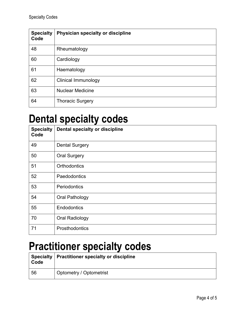| <b>Specialty</b><br>Code | Physician specialty or discipline |
|--------------------------|-----------------------------------|
| 48                       | Rheumatology                      |
| 60                       | Cardiology                        |
| 61                       | Haematology                       |
| 62                       | Clinical Immunology               |
| 63                       | <b>Nuclear Medicine</b>           |
| 64                       | <b>Thoracic Surgery</b>           |

#### **Dental specialty codes**

| <b>Specialty</b><br>Code | Dental specialty or discipline |
|--------------------------|--------------------------------|
| 49                       | <b>Dental Surgery</b>          |
| 50                       | <b>Oral Surgery</b>            |
| 51                       | <b>Orthodontics</b>            |
| 52                       | Paedodontics                   |
| 53                       | Periodontics                   |
| 54                       | Oral Pathology                 |
| 55                       | Endodontics                    |
| 70                       | Oral Radiology                 |
| 71                       | Prosthodontics                 |

## **Practitioner specialty codes**

| Code | Specialty   Practitioner specialty or discipline |
|------|--------------------------------------------------|
| 56   | Optometry / Optometrist                          |